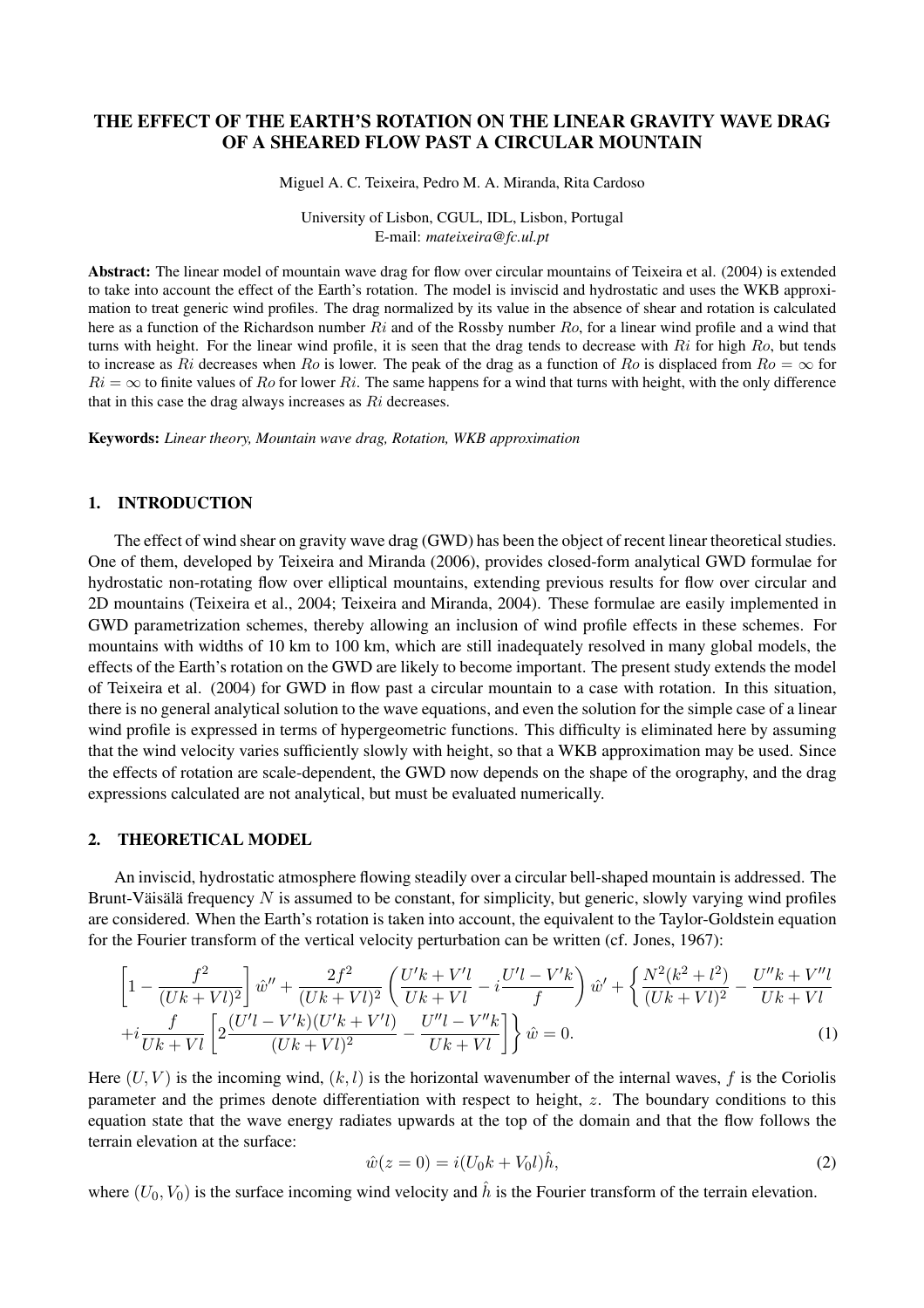# THE EFFECT OF THE EARTH'S ROTATION ON THE LINEAR GRAVITY WAVE DRAG OF A SHEARED FLOW PAST A CIRCULAR MOUNTAIN

Miguel A. C. Teixeira, Pedro M. A. Miranda, Rita Cardoso

University of Lisbon, CGUL, IDL, Lisbon, Portugal E-mail: *mateixeira@fc.ul.pt*

Abstract: The linear model of mountain wave drag for flow over circular mountains of Teixeira et al. (2004) is extended to take into account the effect of the Earth's rotation. The model is inviscid and hydrostatic and uses the WKB approximation to treat generic wind profiles. The drag normalized by its value in the absence of shear and rotation is calculated here as a function of the Richardson number  $Ri$  and of the Rossby number  $Ro$ , for a linear wind profile and a wind that turns with height. For the linear wind profile, it is seen that the drag tends to decrease with  $R_i$  for high  $Ro$ , but tends to increase as Ri decreases when Ro is lower. The peak of the drag as a function of Ro is displaced from  $Ro = \infty$  for  $Ri = \infty$  to finite values of Ro for lower Ri. The same happens for a wind that turns with height, with the only difference that in this case the drag always increases as Ri decreases.

Keywords: *Linear theory, Mountain wave drag, Rotation, WKB approximation*

## 1. INTRODUCTION

The effect of wind shear on gravity wave drag (GWD) has been the object of recent linear theoretical studies. One of them, developed by Teixeira and Miranda (2006), provides closed-form analytical GWD formulae for hydrostatic non-rotating flow over elliptical mountains, extending previous results for flow over circular and 2D mountains (Teixeira et al., 2004; Teixeira and Miranda, 2004). These formulae are easily implemented in GWD parametrization schemes, thereby allowing an inclusion of wind profile effects in these schemes. For mountains with widths of 10 km to 100 km, which are still inadequately resolved in many global models, the effects of the Earth's rotation on the GWD are likely to become important. The present study extends the model of Teixeira et al. (2004) for GWD in flow past a circular mountain to a case with rotation. In this situation, there is no general analytical solution to the wave equations, and even the solution for the simple case of a linear wind profile is expressed in terms of hypergeometric functions. This difficulty is eliminated here by assuming that the wind velocity varies sufficiently slowly with height, so that a WKB approximation may be used. Since the effects of rotation are scale-dependent, the GWD now depends on the shape of the orography, and the drag expressions calculated are not analytical, but must be evaluated numerically.

## 2. THEORETICAL MODEL

An inviscid, hydrostatic atmosphere flowing steadily over a circular bell-shaped mountain is addressed. The Brunt-Väisälä frequency  $N$  is assumed to be constant, for simplicity, but generic, slowly varying wind profiles are considered. When the Earth's rotation is taken into account, the equivalent to the Taylor-Goldstein equation for the Fourier transform of the vertical velocity perturbation can be written (cf. Jones, 1967):

$$
\left[1 - \frac{f^2}{(Uk + Vl)^2}\right]\hat{w}'' + \frac{2f^2}{(Uk + Vl)^2} \left(\frac{U'k + V'l}{Uk + Vl} - i\frac{U'l - V'k}{f}\right)\hat{w}' + \left\{\frac{N^2(k^2 + l^2)}{(Uk + Vl)^2} - \frac{U''k + V''l}{Uk + Vl}\right.\n+ i\frac{f}{Uk + Vl} \left[2\frac{(U'l - V'k)(U'k + V'l)}{(Uk + Vl)^2} - \frac{U''l - V''k}{Uk + Vl}\right]\hat{w} = 0.
$$
\n(1)

Here  $(U, V)$  is the incoming wind,  $(k, l)$  is the horizontal wavenumber of the internal waves, f is the Coriolis parameter and the primes denote differentiation with respect to height, z. The boundary conditions to this equation state that the wave energy radiates upwards at the top of the domain and that the flow follows the terrain elevation at the surface:

$$
\hat{w}(z=0) = i(U_0k + V_0l)\hat{h},\tag{2}
$$

where  $(U_0, V_0)$  is the surface incoming wind velocity and  $\hat{h}$  is the Fourier transform of the terrain elevation.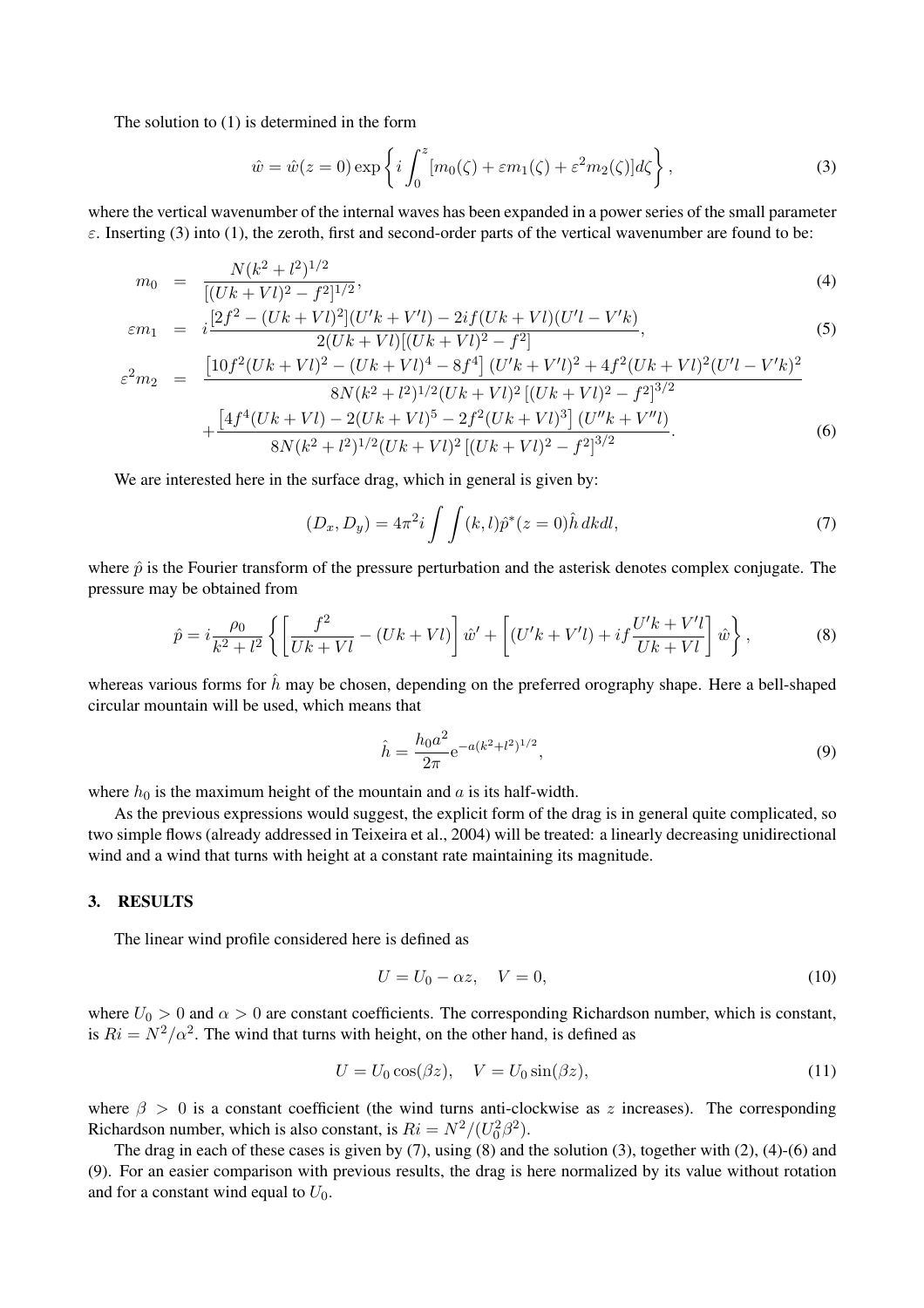The solution to (1) is determined in the form

$$
\hat{w} = \hat{w}(z=0) \exp\left\{i \int_0^z [m_0(\zeta) + \varepsilon m_1(\zeta) + \varepsilon^2 m_2(\zeta)] d\zeta\right\},\tag{3}
$$

where the vertical wavenumber of the internal waves has been expanded in a power series of the small parameter  $\varepsilon$ . Inserting (3) into (1), the zeroth, first and second-order parts of the vertical wavenumber are found to be:

$$
m_0 = \frac{N(k^2 + l^2)^{1/2}}{[(Uk + Vl)^2 - f^2]^{1/2}},
$$
\n(4)

$$
\varepsilon m_1 = i \frac{[2f^2 - (Uk + Vl)^2](U'k + V'l) - 2if(Uk + Vl)(U'l - V'k)}{2(Uk + Vl)[(Uk + Vl)^2 - f^2]},
$$
\n
$$
(5)
$$

$$
\varepsilon^{2} m_{2} = \frac{\left[10f^{2}(Uk+Vl)^{2} - (Uk+Vl)^{4} - 8f^{4}\right] (U'k+V'l)^{2} + 4f^{2}(Uk+Vl)^{2}(U'l-V'k)^{2}}{8N(k^{2}+l^{2})^{1/2}(Uk+Vl)^{2}\left[(Uk+Vl)^{2} - f^{2}\right]^{3/2}} + \frac{\left[4f^{4}(Uk+Vl) - 2(Uk+Vl)^{5} - 2f^{2}(Uk+Vl)^{3}\right] (U''k+V''l)}{8N(k^{2}+l^{2})^{1/2}(Uk+Vl)^{2}\left[(Uk+Vl)^{2} - f^{2}\right]^{3/2}}.
$$
\n(6)

We are interested here in the surface drag, which in general is given by:

$$
(D_x, D_y) = 4\pi^2 i \int \int (k, l)\hat{p}^*(z=0)\hat{h} \, dkdl,
$$
\n(7)

where  $\hat{p}$  is the Fourier transform of the pressure perturbation and the asterisk denotes complex conjugate. The pressure may be obtained from

$$
\hat{p} = i\frac{\rho_0}{k^2 + l^2} \left\{ \left[ \frac{f^2}{Uk + Vl} - (Uk + Vl) \right] \hat{w}' + \left[ (U'k + V'l) + if \frac{U'k + V'l}{Uk + Vl} \right] \hat{w} \right\},\tag{8}
$$

whereas various forms for  $\hat{h}$  may be chosen, depending on the preferred orography shape. Here a bell-shaped circular mountain will be used, which means that

$$
\hat{h} = \frac{h_0 a^2}{2\pi} e^{-a(k^2 + l^2)^{1/2}},\tag{9}
$$

where  $h_0$  is the maximum height of the mountain and a is its half-width.

As the previous expressions would suggest, the explicit form of the drag is in general quite complicated, so two simple flows (already addressed in Teixeira et al., 2004) will be treated: a linearly decreasing unidirectional wind and a wind that turns with height at a constant rate maintaining its magnitude.

#### 3. RESULTS

The linear wind profile considered here is defined as

$$
U = U_0 - \alpha z, \quad V = 0,\tag{10}
$$

where  $U_0 > 0$  and  $\alpha > 0$  are constant coefficients. The corresponding Richardson number, which is constant, is  $Ri = N^2/\alpha^2$ . The wind that turns with height, on the other hand, is defined as

$$
U = U_0 \cos(\beta z), \quad V = U_0 \sin(\beta z), \tag{11}
$$

where  $\beta > 0$  is a constant coefficient (the wind turns anti-clockwise as z increases). The corresponding Richardson number, which is also constant, is  $Ri = N^2/(U_0^2 \beta^2)$ .

The drag in each of these cases is given by (7), using (8) and the solution (3), together with (2), (4)-(6) and (9). For an easier comparison with previous results, the drag is here normalized by its value without rotation and for a constant wind equal to  $U_0$ .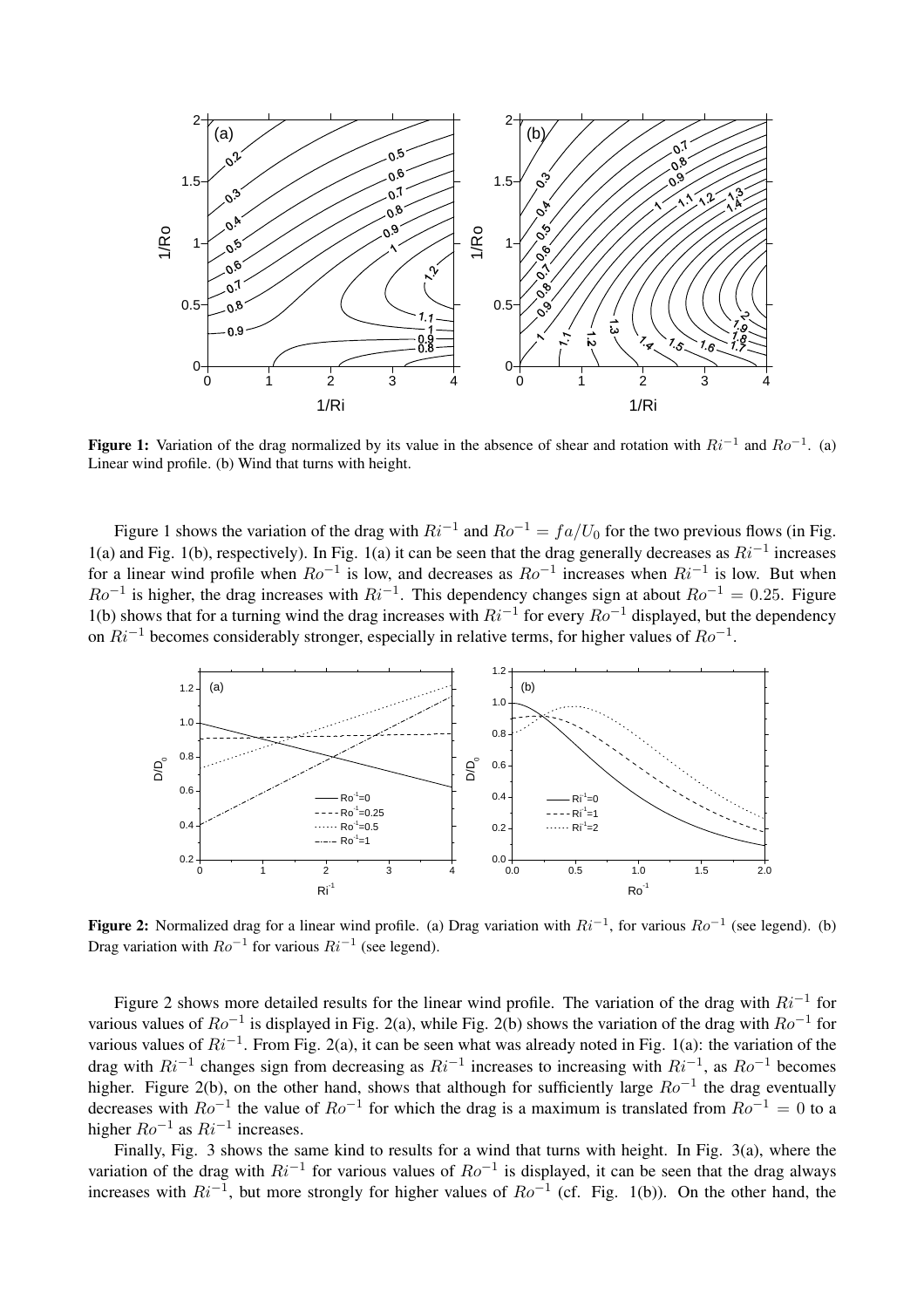

Figure 1: Variation of the drag normalized by its value in the absence of shear and rotation with  $Ri^{-1}$  and  $Ro^{-1}$ . (a) Linear wind profile. (b) Wind that turns with height.

Figure 1 shows the variation of the drag with  $Ri^{-1}$  and  $Ro^{-1} = fa/U_0$  for the two previous flows (in Fig. 1(a) and Fig. 1(b), respectively). In Fig. 1(a) it can be seen that the drag generally decreases as  $Ri^{-1}$  increases for a linear wind profile when  $Ro^{-1}$  is low, and decreases as  $Ro^{-1}$  increases when  $Ri^{-1}$  is low. But when  $Ro^{-1}$  is higher, the drag increases with  $Ri^{-1}$ . This dependency changes sign at about  $Ro^{-1} = 0.25$ . Figure 1(b) shows that for a turning wind the drag increases with  $Ri^{-1}$  for every  $Ro^{-1}$  displayed, but the dependency on  $Ri^{-1}$  becomes considerably stronger, especially in relative terms, for higher values of  $Ro^{-1}$ .



**Figure 2:** Normalized drag for a linear wind profile. (a) Drag variation with  $Ri^{-1}$ , for various  $Ro^{-1}$  (see legend). (b) Drag variation with  $Ro^{-1}$  for various  $Ri^{-1}$  (see legend).

Figure 2 shows more detailed results for the linear wind profile. The variation of the drag with  $Ri^{-1}$  for various values of  $Ro^{-1}$  is displayed in Fig. 2(a), while Fig. 2(b) shows the variation of the drag with  $Ro^{-1}$  for various values of  $Ri^{-1}$ . From Fig. 2(a), it can be seen what was already noted in Fig. 1(a): the variation of the drag with  $Ri^{-1}$  changes sign from decreasing as  $Ri^{-1}$  increases to increasing with  $Ri^{-1}$ , as  $Ro^{-1}$  becomes higher. Figure 2(b), on the other hand, shows that although for sufficiently large  $Ro^{-1}$  the drag eventually decreases with  $Ro^{-1}$  the value of  $Ro^{-1}$  for which the drag is a maximum is translated from  $Ro^{-1} = 0$  to a higher  $Ro^{-1}$  as  $Ri^{-1}$  increases.

Finally, Fig. 3 shows the same kind to results for a wind that turns with height. In Fig. 3(a), where the variation of the drag with  $Ri^{-1}$  for various values of  $Ro^{-1}$  is displayed, it can be seen that the drag always increases with  $Ri^{-1}$ , but more strongly for higher values of  $Ro^{-1}$  (cf. Fig. 1(b)). On the other hand, the